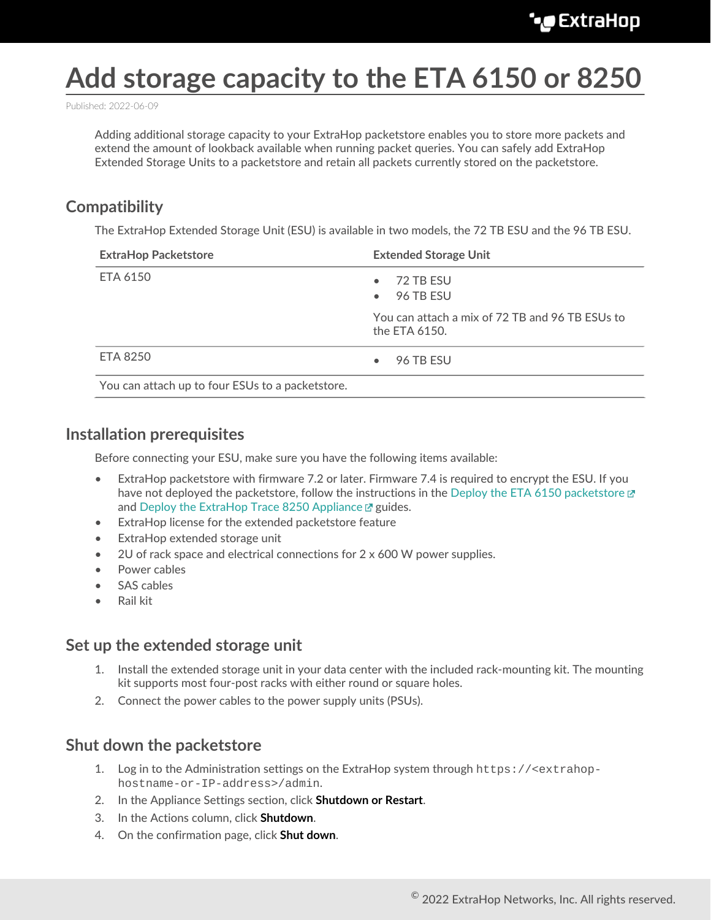# **Add storage capacity to the ETA 6150 or 8250**

Published: 2022-06-09

Adding additional storage capacity to your ExtraHop packetstore enables you to store more packets and extend the amount of lookback available when running packet queries. You can safely add ExtraHop Extended Storage Units to a packetstore and retain all packets currently stored on the packetstore.

# **Compatibility**

The ExtraHop Extended Storage Unit (ESU) is available in two models, the 72 TB ESU and the 96 TB ESU.

| <b>ExtraHop Packetstore</b>                      | <b>Extended Storage Unit</b>                                     |  |  |  |  |  |
|--------------------------------------------------|------------------------------------------------------------------|--|--|--|--|--|
| ETA 6150                                         | 72 TB ESU<br>$\bullet$<br>96 TB ESU<br>$\bullet$                 |  |  |  |  |  |
|                                                  | You can attach a mix of 72 TB and 96 TB ESUs to<br>the ETA 6150. |  |  |  |  |  |
| <b>ETA 8250</b>                                  | 96 TB ESU<br>$\bullet$                                           |  |  |  |  |  |
| You can attach up to four ESUs to a packetstore. |                                                                  |  |  |  |  |  |

# **Installation prerequisites**

Before connecting your ESU, make sure you have the following items available:

- ExtraHop packetstore with firmware 7.2 or later. Firmware 7.4 is required to encrypt the ESU. If you have not deployed the packetstore, follow the instructions in the [Deploy the ETA 6150 packetstore](https://docs.extrahop.com/8.9/deploy-eta)  $\mathbb{F}$ and [Deploy the ExtraHop Trace 8250 Appliance](https://docs.extrahop.com/8.9/deploy-eta-8250)  $\sigma$  guides.
- ExtraHop license for the extended packetstore feature
- ExtraHop extended storage unit
- 2U of rack space and electrical connections for 2 x 600 W power supplies.
- Power cables
- SAS cables
- Rail kit

## **Set up the extended storage unit**

- 1. Install the extended storage unit in your data center with the included rack-mounting kit. The mounting kit supports most four-post racks with either round or square holes.
- 2. Connect the power cables to the power supply units (PSUs).

## **Shut down the packetstore**

- 1. Log in to the Administration settings on the ExtraHop system through https://<extrahophostname-or-IP-address>/admin.
- 2. In the Appliance Settings section, click **Shutdown or Restart**.
- 3. In the Actions column, click **Shutdown**.
- 4. On the confirmation page, click **Shut down**.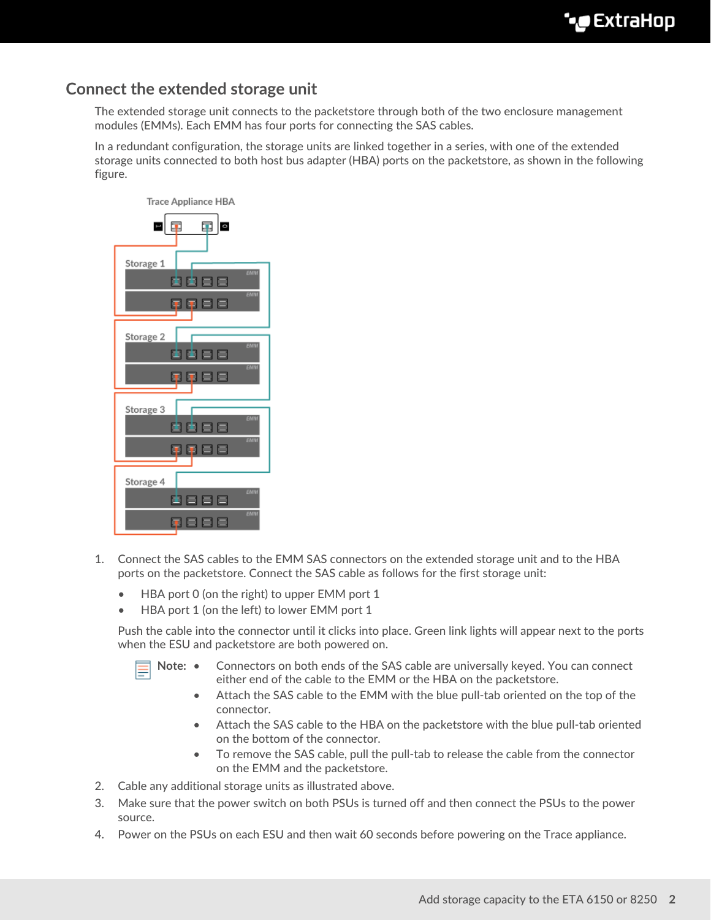# **Connect the extended storage unit**

The extended storage unit connects to the packetstore through both of the two enclosure management modules (EMMs). Each EMM has four ports for connecting the SAS cables.

In a redundant configuration, the storage units are linked together in a series, with one of the extended storage units connected to both host bus adapter (HBA) ports on the packetstore, as shown in the following figure.



- 1. Connect the SAS cables to the EMM SAS connectors on the extended storage unit and to the HBA ports on the packetstore. Connect the SAS cable as follows for the first storage unit:
	- HBA port 0 (on the right) to upper EMM port 1
	- HBA port 1 (on the left) to lower EMM port 1

Push the cable into the connector until it clicks into place. Green link lights will appear next to the ports when the ESU and packetstore are both powered on.

- Note: Connectors on both ends of the SAS cable are universally keyed. You can connect either end of the cable to the EMM or the HBA on the packetstore.
	- Attach the SAS cable to the EMM with the blue pull-tab oriented on the top of the connector.
	- Attach the SAS cable to the HBA on the packetstore with the blue pull-tab oriented on the bottom of the connector.
	- To remove the SAS cable, pull the pull-tab to release the cable from the connector on the EMM and the packetstore.
- 2. Cable any additional storage units as illustrated above.
- 3. Make sure that the power switch on both PSUs is turned off and then connect the PSUs to the power source.
- 4. Power on the PSUs on each ESU and then wait 60 seconds before powering on the Trace appliance.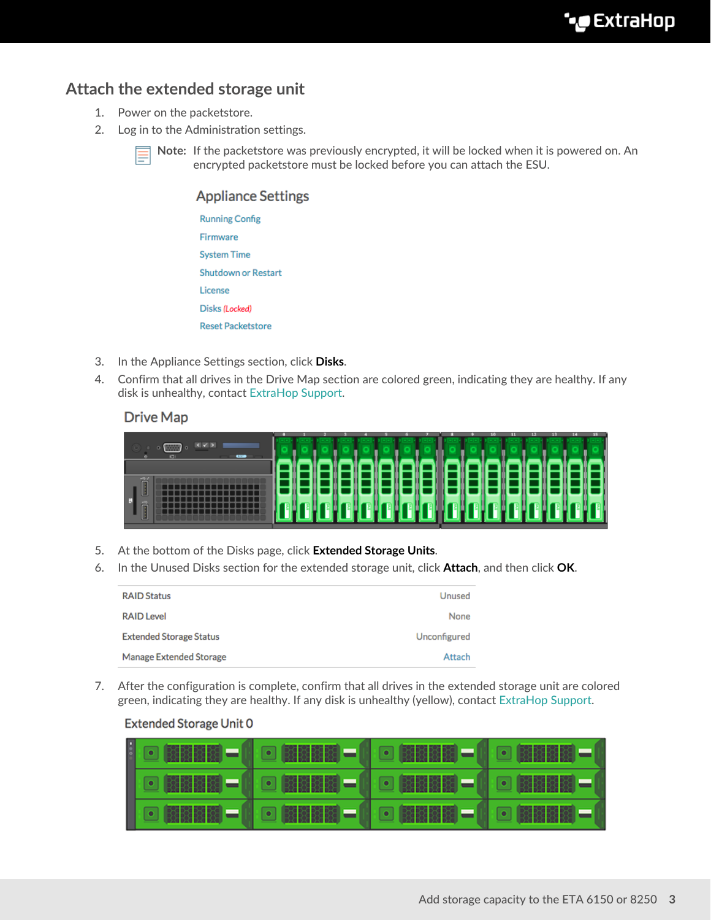# **Attach the extended storage unit**

- 1. Power on the packetstore.
- 2. Log in to the Administration settings.



**Note:** If the packetstore was previously encrypted, it will be locked when it is powered on. An encrypted packetstore must be locked before you can attach the ESU.

#### **Appliance Settings**

| <b>Running Config</b> |  |  |  |  |  |  |
|-----------------------|--|--|--|--|--|--|
| Firmware              |  |  |  |  |  |  |
| <b>System Time</b>    |  |  |  |  |  |  |
| Shutdown or Restart   |  |  |  |  |  |  |
| License               |  |  |  |  |  |  |
| Disks (Locked)        |  |  |  |  |  |  |
| Reset Packetstore     |  |  |  |  |  |  |
|                       |  |  |  |  |  |  |

- 3. In the Appliance Settings section, click **Disks**.
- 4. Confirm that all drives in the Drive Map section are colored green, indicating they are healthy. If any disk is unhealthy, contact [ExtraHop Support.](mailto:support@extrahop.com)

#### **Drive Map**

| <b>CONTRACTOR</b> |                                        |  |  |  |  |  |  |  |  |
|-------------------|----------------------------------------|--|--|--|--|--|--|--|--|
|                   |                                        |  |  |  |  |  |  |  |  |
|                   | <u> 1999 - 1999 - 1999 - 1999 - 19</u> |  |  |  |  |  |  |  |  |

- 5. At the bottom of the Disks page, click **Extended Storage Units**.
- 6. In the Unused Disks section for the extended storage unit, click **Attach**, and then click **OK**.

| <b>RAID Status</b>             | Unused       |
|--------------------------------|--------------|
| <b>RAID Level</b>              | None         |
| <b>Extended Storage Status</b> | Unconfigured |
| Manage Extended Storage        | Attach       |

7. After the configuration is complete, confirm that all drives in the extended storage unit are colored green, indicating they are healthy. If any disk is unhealthy (yellow), contact [ExtraHop Support.](mailto:support@extrahop.com)

#### **Extended Storage Unit 0**

|  | ▌G (BBBB) - ( G (BBBB) - ( G (BBBB - ( G (BBBB) - |  |
|--|---------------------------------------------------|--|
|  |                                                   |  |